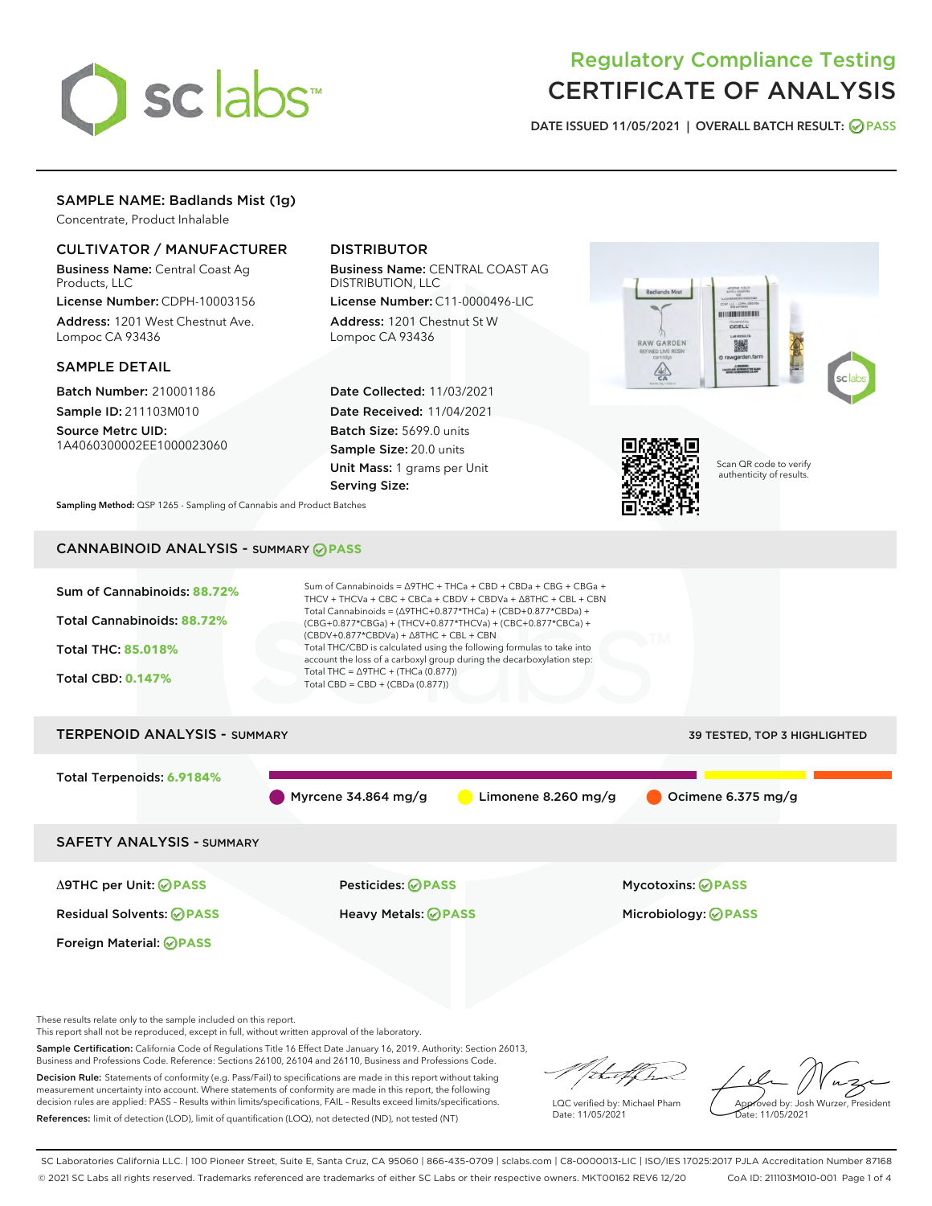

# Regulatory Compliance Testing CERTIFICATE OF ANALYSIS

DATE ISSUED 11/05/2021 | OVERALL BATCH RESULT: @ PASS

# SAMPLE NAME: Badlands Mist (1g)

Concentrate, Product Inhalable

# CULTIVATOR / MANUFACTURER

Business Name: Central Coast Ag Products, LLC

License Number: CDPH-10003156 Address: 1201 West Chestnut Ave. Lompoc CA 93436

#### SAMPLE DETAIL

Batch Number: 210001186 Sample ID: 211103M010

Source Metrc UID: 1A4060300002EE1000023060

# DISTRIBUTOR

Business Name: CENTRAL COAST AG DISTRIBUTION, LLC

License Number: C11-0000496-LIC Address: 1201 Chestnut St W Lompoc CA 93436

Date Collected: 11/03/2021 Date Received: 11/04/2021 Batch Size: 5699.0 units Sample Size: 20.0 units Unit Mass: 1 grams per Unit Serving Size:





Scan QR code to verify authenticity of results.

Sampling Method: QSP 1265 - Sampling of Cannabis and Product Batches

# CANNABINOID ANALYSIS - SUMMARY **PASS**



These results relate only to the sample included on this report.

This report shall not be reproduced, except in full, without written approval of the laboratory.

Sample Certification: California Code of Regulations Title 16 Effect Date January 16, 2019. Authority: Section 26013, Business and Professions Code. Reference: Sections 26100, 26104 and 26110, Business and Professions Code.

Decision Rule: Statements of conformity (e.g. Pass/Fail) to specifications are made in this report without taking measurement uncertainty into account. Where statements of conformity are made in this report, the following decision rules are applied: PASS – Results within limits/specifications, FAIL – Results exceed limits/specifications. References: limit of detection (LOD), limit of quantification (LOQ), not detected (ND), not tested (NT)

that f(ha

LQC verified by: Michael Pham Date: 11/05/2021

Approved by: Josh Wurzer, President ate: 11/05/2021

SC Laboratories California LLC. | 100 Pioneer Street, Suite E, Santa Cruz, CA 95060 | 866-435-0709 | sclabs.com | C8-0000013-LIC | ISO/IES 17025:2017 PJLA Accreditation Number 87168 © 2021 SC Labs all rights reserved. Trademarks referenced are trademarks of either SC Labs or their respective owners. MKT00162 REV6 12/20 CoA ID: 211103M010-001 Page 1 of 4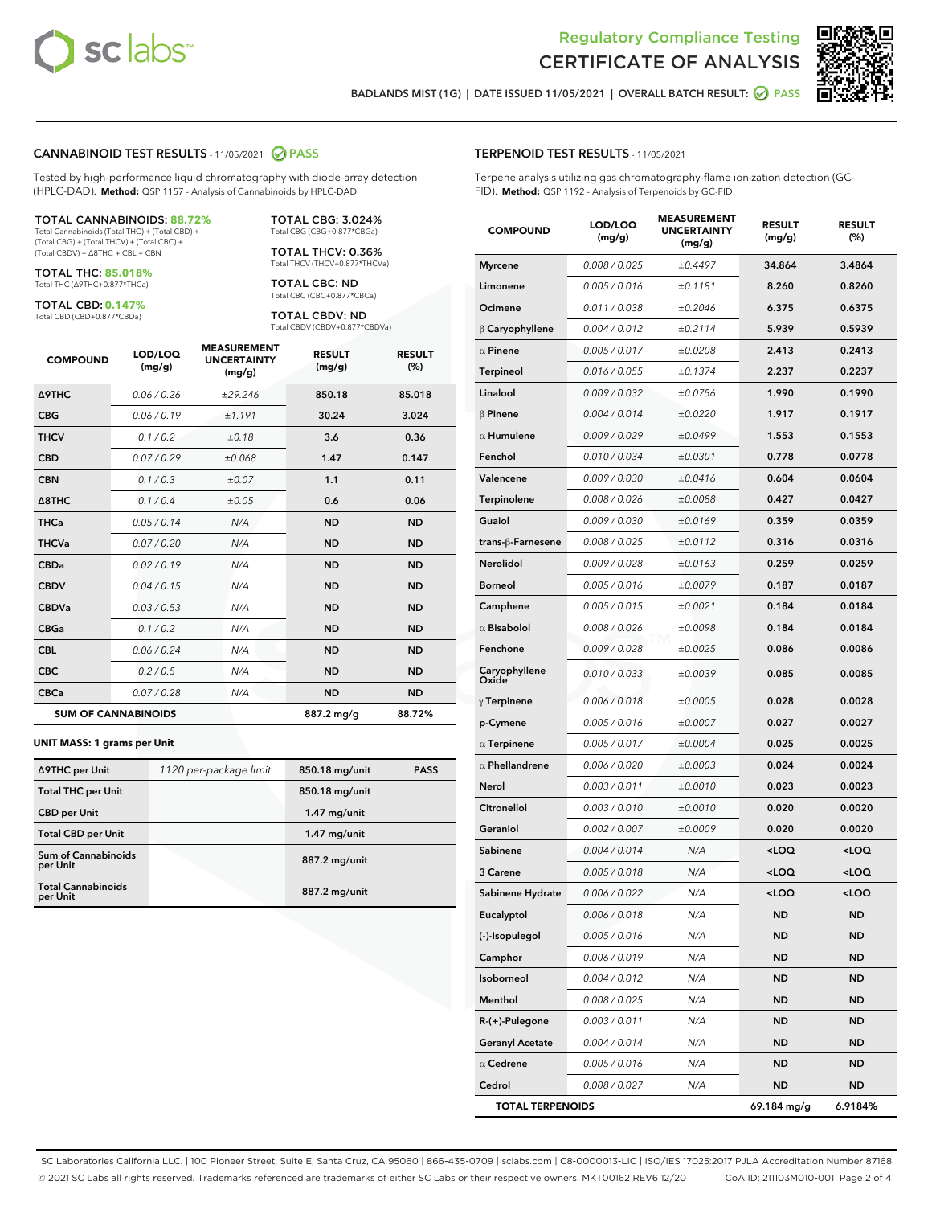



BADLANDS MIST (1G) | DATE ISSUED 11/05/2021 | OVERALL BATCH RESULT: @ PASS

#### CANNABINOID TEST RESULTS - 11/05/2021 2 PASS

Tested by high-performance liquid chromatography with diode-array detection (HPLC-DAD). **Method:** QSP 1157 - Analysis of Cannabinoids by HPLC-DAD

#### TOTAL CANNABINOIDS: **88.72%**

Total Cannabinoids (Total THC) + (Total CBD) + (Total CBG) + (Total THCV) + (Total CBC) + (Total CBDV) + ∆8THC + CBL + CBN

TOTAL THC: **85.018%** Total THC (∆9THC+0.877\*THCa)

TOTAL CBD: **0.147%**

Total CBD (CBD+0.877\*CBDa)

TOTAL CBG: 3.024% Total CBG (CBG+0.877\*CBGa)

TOTAL THCV: 0.36% Total THCV (THCV+0.877\*THCVa)

TOTAL CBC: ND Total CBC (CBC+0.877\*CBCa)

TOTAL CBDV: ND Total CBDV (CBDV+0.877\*CBDVa)

| <b>COMPOUND</b>            | LOD/LOQ<br>(mg/g) | <b>MEASUREMENT</b><br><b>UNCERTAINTY</b><br>(mg/g) | <b>RESULT</b><br>(mg/g) | <b>RESULT</b><br>(%) |
|----------------------------|-------------------|----------------------------------------------------|-------------------------|----------------------|
| <b>A9THC</b>               | 0.06 / 0.26       | ±29.246                                            | 850.18                  | 85.018               |
| <b>CBG</b>                 | 0.06/0.19         | ±1.191                                             | 30.24                   | 3.024                |
| <b>THCV</b>                | 0.1 / 0.2         | ±0.18                                              | 3.6                     | 0.36                 |
| <b>CBD</b>                 | 0.07/0.29         | ±0.068                                             | 1.47                    | 0.147                |
| <b>CBN</b>                 | 0.1 / 0.3         | ±0.07                                              | 1.1                     | 0.11                 |
| $\triangle$ 8THC           | 0.1 / 0.4         | ±0.05                                              | 0.6                     | 0.06                 |
| <b>THCa</b>                | 0.05/0.14         | N/A                                                | <b>ND</b>               | <b>ND</b>            |
| <b>THCVa</b>               | 0.07/0.20         | N/A                                                | <b>ND</b>               | <b>ND</b>            |
| <b>CBDa</b>                | 0.02/0.19         | N/A                                                | <b>ND</b>               | <b>ND</b>            |
| <b>CBDV</b>                | 0.04 / 0.15       | N/A                                                | <b>ND</b>               | <b>ND</b>            |
| <b>CBDVa</b>               | 0.03/0.53         | N/A                                                | <b>ND</b>               | <b>ND</b>            |
| <b>CBGa</b>                | 0.1/0.2           | N/A                                                | <b>ND</b>               | <b>ND</b>            |
| <b>CBL</b>                 | 0.06 / 0.24       | N/A                                                | <b>ND</b>               | <b>ND</b>            |
| <b>CBC</b>                 | 0.2 / 0.5         | N/A                                                | <b>ND</b>               | <b>ND</b>            |
| <b>CBCa</b>                | 0.07 / 0.28       | N/A                                                | <b>ND</b>               | <b>ND</b>            |
| <b>SUM OF CANNABINOIDS</b> |                   |                                                    | 887.2 mg/g              | 88.72%               |

#### **UNIT MASS: 1 grams per Unit**

| ∆9THC per Unit                         | 1120 per-package limit | 850.18 mg/unit | <b>PASS</b> |
|----------------------------------------|------------------------|----------------|-------------|
| <b>Total THC per Unit</b>              |                        | 850.18 mg/unit |             |
| <b>CBD per Unit</b>                    |                        | $1.47$ mg/unit |             |
| <b>Total CBD per Unit</b>              |                        | $1.47$ mg/unit |             |
| <b>Sum of Cannabinoids</b><br>per Unit |                        | 887.2 mg/unit  |             |
| <b>Total Cannabinoids</b><br>per Unit  |                        | 887.2 mg/unit  |             |

# TERPENOID TEST RESULTS - 11/05/2021

Terpene analysis utilizing gas chromatography-flame ionization detection (GC-FID). **Method:** QSP 1192 - Analysis of Terpenoids by GC-FID

| <b>COMPOUND</b>         | LOD/LOQ<br>(mg/g) | <b>MEASUREMENT</b><br><b>UNCERTAINTY</b><br>(mg/g) | <b>RESULT</b><br>(mg/g)                         | <b>RESULT</b><br>(%) |
|-------------------------|-------------------|----------------------------------------------------|-------------------------------------------------|----------------------|
| <b>Myrcene</b>          | 0.008 / 0.025     | ±0.4497                                            | 34.864                                          | 3.4864               |
| Limonene                | 0.005 / 0.016     | ±0.1181                                            | 8.260                                           | 0.8260               |
| Ocimene                 | 0.011 / 0.038     | ±0.2046                                            | 6.375                                           | 0.6375               |
| $\upbeta$ Caryophyllene | 0.004 / 0.012     | ±0.2114                                            | 5.939                                           | 0.5939               |
| $\alpha$ Pinene         | 0.005 / 0.017     | ±0.0208                                            | 2.413                                           | 0.2413               |
| <b>Terpineol</b>        | 0.016 / 0.055     | ±0.1374                                            | 2.237                                           | 0.2237               |
| Linalool                | 0.009 / 0.032     | ±0.0756                                            | 1.990                                           | 0.1990               |
| $\beta$ Pinene          | 0.004 / 0.014     | ±0.0220                                            | 1.917                                           | 0.1917               |
| $\alpha$ Humulene       | 0.009/0.029       | ±0.0499                                            | 1.553                                           | 0.1553               |
| Fenchol                 | 0.010 / 0.034     | ±0.0301                                            | 0.778                                           | 0.0778               |
| Valencene               | 0.009 / 0.030     | ±0.0416                                            | 0.604                                           | 0.0604               |
| Terpinolene             | 0.008 / 0.026     | ±0.0088                                            | 0.427                                           | 0.0427               |
| Guaiol                  | 0.009 / 0.030     | ±0.0169                                            | 0.359                                           | 0.0359               |
| trans-ß-Farnesene       | 0.008 / 0.025     | ±0.0112                                            | 0.316                                           | 0.0316               |
| Nerolidol               | 0.009 / 0.028     | ±0.0163                                            | 0.259                                           | 0.0259               |
| <b>Borneol</b>          | 0.005 / 0.016     | ±0.0079                                            | 0.187                                           | 0.0187               |
| Camphene                | 0.005 / 0.015     | ±0.0021                                            | 0.184                                           | 0.0184               |
| $\alpha$ Bisabolol      | 0.008 / 0.026     | ±0.0098                                            | 0.184                                           | 0.0184               |
| Fenchone                | 0.009 / 0.028     | ±0.0025                                            | 0.086                                           | 0.0086               |
| Caryophyllene<br>Oxide  | 0.010 / 0.033     | ±0.0039                                            | 0.085                                           | 0.0085               |
| $\gamma$ Terpinene      | 0.006 / 0.018     | ±0.0005                                            | 0.028                                           | 0.0028               |
| p-Cymene                | 0.005 / 0.016     | ±0.0007                                            | 0.027                                           | 0.0027               |
| $\alpha$ Terpinene      | 0.005 / 0.017     | ±0.0004                                            | 0.025                                           | 0.0025               |
| $\alpha$ Phellandrene   | 0.006 / 0.020     | ±0.0003                                            | 0.024                                           | 0.0024               |
| Nerol                   | 0.003 / 0.011     | ±0.0010                                            | 0.023                                           | 0.0023               |
| Citronellol             | 0.003 / 0.010     | ±0.0010                                            | 0.020                                           | 0.0020               |
| Geraniol                | 0.002 / 0.007     | ±0.0009                                            | 0.020                                           | 0.0020               |
| Sabinene                | 0.004 / 0.014     | N/A                                                | <loq< th=""><th><loq< th=""></loq<></th></loq<> | <loq< th=""></loq<>  |
| 3 Carene                | 0.005 / 0.018     | N/A                                                | <loq< th=""><th><loq< th=""></loq<></th></loq<> | <loq< th=""></loq<>  |
| Sabinene Hydrate        | 0.006 / 0.022     | N/A                                                | <loq< th=""><th><loq< th=""></loq<></th></loq<> | <loq< th=""></loq<>  |
| Eucalyptol              | 0.006 / 0.018     | N/A                                                | ND                                              | ND                   |
| (-)-Isopulegol          | 0.005 / 0.016     | N/A                                                | ND                                              | ND                   |
| Camphor                 | 0.006 / 0.019     | N/A                                                | <b>ND</b>                                       | ND                   |
| Isoborneol              | 0.004 / 0.012     | N/A                                                | <b>ND</b>                                       | <b>ND</b>            |
| Menthol                 | 0.008 / 0.025     | N/A                                                | ND                                              | ND                   |
| $R-(+)$ -Pulegone       | 0.003 / 0.011     | N/A                                                | ND                                              | ND                   |
| <b>Geranyl Acetate</b>  | 0.004 / 0.014     | N/A                                                | <b>ND</b>                                       | ND                   |
| $\alpha$ Cedrene        | 0.005 / 0.016     | N/A                                                | ND                                              | ND                   |
| Cedrol                  | 0.008 / 0.027     | N/A                                                | <b>ND</b>                                       | ND                   |
| <b>TOTAL TERPENOIDS</b> |                   |                                                    | 69.184 mg/g                                     | 6.9184%              |

SC Laboratories California LLC. | 100 Pioneer Street, Suite E, Santa Cruz, CA 95060 | 866-435-0709 | sclabs.com | C8-0000013-LIC | ISO/IES 17025:2017 PJLA Accreditation Number 87168 © 2021 SC Labs all rights reserved. Trademarks referenced are trademarks of either SC Labs or their respective owners. MKT00162 REV6 12/20 CoA ID: 211103M010-001 Page 2 of 4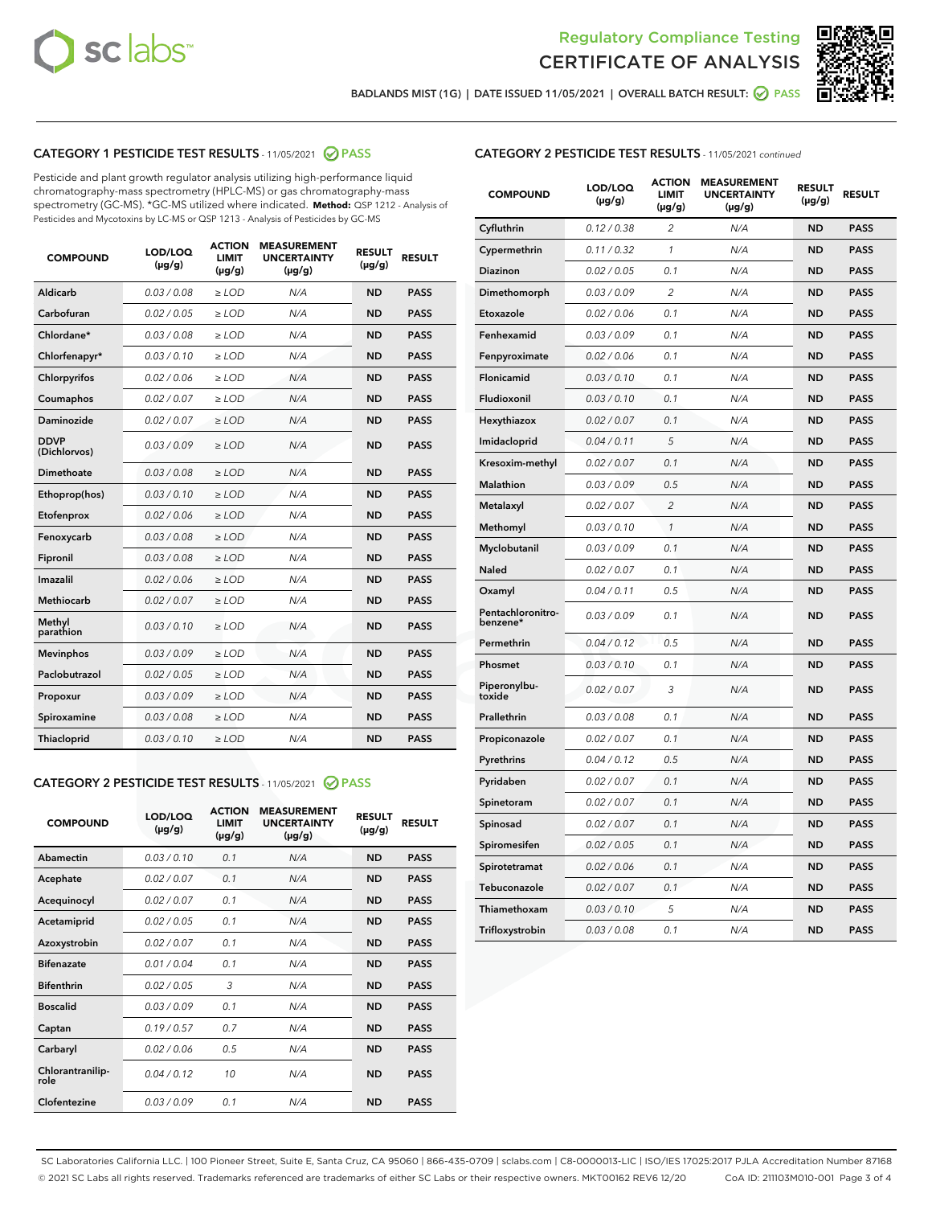



BADLANDS MIST (1G) | DATE ISSUED 11/05/2021 | OVERALL BATCH RESULT: @ PASS

# CATEGORY 1 PESTICIDE TEST RESULTS - 11/05/2021 2 PASS

Pesticide and plant growth regulator analysis utilizing high-performance liquid chromatography-mass spectrometry (HPLC-MS) or gas chromatography-mass spectrometry (GC-MS). \*GC-MS utilized where indicated. **Method:** QSP 1212 - Analysis of Pesticides and Mycotoxins by LC-MS or QSP 1213 - Analysis of Pesticides by GC-MS

| <b>COMPOUND</b>             | LOD/LOQ<br>$(\mu g/g)$ | <b>ACTION</b><br><b>LIMIT</b><br>$(\mu g/g)$ | <b>MEASUREMENT</b><br><b>UNCERTAINTY</b><br>$(\mu g/g)$ | <b>RESULT</b><br>$(\mu g/g)$ | <b>RESULT</b> |
|-----------------------------|------------------------|----------------------------------------------|---------------------------------------------------------|------------------------------|---------------|
| Aldicarb                    | 0.03 / 0.08            | $\ge$ LOD                                    | N/A                                                     | <b>ND</b>                    | <b>PASS</b>   |
| Carbofuran                  | 0.02/0.05              | $>$ LOD                                      | N/A                                                     | <b>ND</b>                    | <b>PASS</b>   |
| Chlordane*                  | 0.03 / 0.08            | $\ge$ LOD                                    | N/A                                                     | <b>ND</b>                    | <b>PASS</b>   |
| Chlorfenapyr*               | 0.03/0.10              | $>$ LOD                                      | N/A                                                     | <b>ND</b>                    | <b>PASS</b>   |
| Chlorpyrifos                | 0.02 / 0.06            | $\ge$ LOD                                    | N/A                                                     | <b>ND</b>                    | <b>PASS</b>   |
| Coumaphos                   | 0.02 / 0.07            | $\ge$ LOD                                    | N/A                                                     | <b>ND</b>                    | <b>PASS</b>   |
| Daminozide                  | 0.02 / 0.07            | $\ge$ LOD                                    | N/A                                                     | <b>ND</b>                    | <b>PASS</b>   |
| <b>DDVP</b><br>(Dichlorvos) | 0.03/0.09              | $\ge$ LOD                                    | N/A                                                     | <b>ND</b>                    | <b>PASS</b>   |
| Dimethoate                  | 0.03/0.08              | $>$ LOD                                      | N/A                                                     | <b>ND</b>                    | <b>PASS</b>   |
| Ethoprop(hos)               | 0.03/0.10              | $\ge$ LOD                                    | N/A                                                     | <b>ND</b>                    | <b>PASS</b>   |
| Etofenprox                  | 0.02 / 0.06            | $\ge$ LOD                                    | N/A                                                     | <b>ND</b>                    | <b>PASS</b>   |
| Fenoxycarb                  | 0.03 / 0.08            | $\ge$ LOD                                    | N/A                                                     | <b>ND</b>                    | <b>PASS</b>   |
| Fipronil                    | 0.03/0.08              | $>$ LOD                                      | N/A                                                     | <b>ND</b>                    | <b>PASS</b>   |
| Imazalil                    | 0.02 / 0.06            | $\ge$ LOD                                    | N/A                                                     | <b>ND</b>                    | <b>PASS</b>   |
| Methiocarb                  | 0.02 / 0.07            | $\ge$ LOD                                    | N/A                                                     | <b>ND</b>                    | <b>PASS</b>   |
| Methyl<br>parathion         | 0.03/0.10              | $\ge$ LOD                                    | N/A                                                     | <b>ND</b>                    | <b>PASS</b>   |
| <b>Mevinphos</b>            | 0.03/0.09              | $>$ LOD                                      | N/A                                                     | <b>ND</b>                    | <b>PASS</b>   |
| Paclobutrazol               | 0.02 / 0.05            | $\ge$ LOD                                    | N/A                                                     | <b>ND</b>                    | <b>PASS</b>   |
| Propoxur                    | 0.03/0.09              | $\ge$ LOD                                    | N/A                                                     | <b>ND</b>                    | <b>PASS</b>   |
| Spiroxamine                 | 0.03 / 0.08            | $\ge$ LOD                                    | N/A                                                     | <b>ND</b>                    | <b>PASS</b>   |
| Thiacloprid                 | 0.03/0.10              | $\ge$ LOD                                    | N/A                                                     | <b>ND</b>                    | <b>PASS</b>   |

#### CATEGORY 2 PESTICIDE TEST RESULTS - 11/05/2021 @ PASS

| <b>COMPOUND</b>          | LOD/LOO<br>$(\mu g/g)$ | <b>ACTION</b><br>LIMIT<br>$(\mu g/g)$ | <b>MEASUREMENT</b><br><b>UNCERTAINTY</b><br>$(\mu g/g)$ | <b>RESULT</b><br>$(\mu g/g)$ | <b>RESULT</b> |  |
|--------------------------|------------------------|---------------------------------------|---------------------------------------------------------|------------------------------|---------------|--|
| Abamectin                | 0.03/0.10              | 0.1                                   | N/A                                                     | <b>ND</b>                    | <b>PASS</b>   |  |
| Acephate                 | 0.02/0.07              | 0.1                                   | N/A                                                     | <b>ND</b>                    | <b>PASS</b>   |  |
| Acequinocyl              | 0.02/0.07              | 0.1                                   | N/A                                                     | <b>ND</b>                    | <b>PASS</b>   |  |
| Acetamiprid              | 0.02 / 0.05            | 0.1                                   | N/A                                                     | <b>ND</b>                    | <b>PASS</b>   |  |
| Azoxystrobin             | 0.02/0.07              | 0.1                                   | N/A                                                     | <b>ND</b>                    | <b>PASS</b>   |  |
| <b>Bifenazate</b>        | 0.01 / 0.04            | 0.1                                   | N/A                                                     | <b>ND</b>                    | <b>PASS</b>   |  |
| <b>Bifenthrin</b>        | 0.02 / 0.05            | 3                                     | N/A                                                     | <b>ND</b>                    | <b>PASS</b>   |  |
| <b>Boscalid</b>          | 0.03/0.09              | 0.1                                   | N/A                                                     | <b>ND</b>                    | <b>PASS</b>   |  |
| Captan                   | 0.19/0.57              | 0.7                                   | N/A                                                     | <b>ND</b>                    | <b>PASS</b>   |  |
| Carbaryl                 | 0.02/0.06              | 0.5                                   | N/A                                                     | <b>ND</b>                    | <b>PASS</b>   |  |
| Chlorantranilip-<br>role | 0.04/0.12              | 10                                    | N/A                                                     | <b>ND</b>                    | <b>PASS</b>   |  |
| Clofentezine             | 0.03/0.09              | 0.1                                   | N/A                                                     | <b>ND</b>                    | <b>PASS</b>   |  |

# CATEGORY 2 PESTICIDE TEST RESULTS - 11/05/2021 continued

| <b>COMPOUND</b>               | LOD/LOQ<br>(µg/g) | <b>ACTION</b><br><b>LIMIT</b><br>$(\mu g/g)$ | <b>MEASUREMENT</b><br><b>UNCERTAINTY</b><br>$(\mu g/g)$ | <b>RESULT</b><br>(µg/g) | <b>RESULT</b> |
|-------------------------------|-------------------|----------------------------------------------|---------------------------------------------------------|-------------------------|---------------|
| Cyfluthrin                    | 0.12 / 0.38       | $\overline{c}$                               | N/A                                                     | <b>ND</b>               | <b>PASS</b>   |
| Cypermethrin                  | 0.11 / 0.32       | 1                                            | N/A                                                     | ND                      | <b>PASS</b>   |
| Diazinon                      | 0.02 / 0.05       | 0.1                                          | N/A                                                     | ND                      | <b>PASS</b>   |
| Dimethomorph                  | 0.03 / 0.09       | 2                                            | N/A                                                     | ND                      | <b>PASS</b>   |
| Etoxazole                     | 0.02 / 0.06       | 0.1                                          | N/A                                                     | <b>ND</b>               | <b>PASS</b>   |
| Fenhexamid                    | 0.03 / 0.09       | 0.1                                          | N/A                                                     | <b>ND</b>               | <b>PASS</b>   |
| Fenpyroximate                 | 0.02 / 0.06       | 0.1                                          | N/A                                                     | ND                      | <b>PASS</b>   |
| Flonicamid                    | 0.03 / 0.10       | 0.1                                          | N/A                                                     | ND                      | <b>PASS</b>   |
| Fludioxonil                   | 0.03 / 0.10       | 0.1                                          | N/A                                                     | <b>ND</b>               | <b>PASS</b>   |
| Hexythiazox                   | 0.02 / 0.07       | 0.1                                          | N/A                                                     | ND                      | <b>PASS</b>   |
| Imidacloprid                  | 0.04 / 0.11       | 5                                            | N/A                                                     | ND                      | <b>PASS</b>   |
| Kresoxim-methyl               | 0.02 / 0.07       | 0.1                                          | N/A                                                     | <b>ND</b>               | <b>PASS</b>   |
| <b>Malathion</b>              | 0.03 / 0.09       | 0.5                                          | N/A                                                     | ND                      | <b>PASS</b>   |
| Metalaxyl                     | 0.02 / 0.07       | $\overline{c}$                               | N/A                                                     | ND                      | <b>PASS</b>   |
| Methomyl                      | 0.03 / 0.10       | 1                                            | N/A                                                     | <b>ND</b>               | <b>PASS</b>   |
| Myclobutanil                  | 0.03 / 0.09       | 0.1                                          | N/A                                                     | ND                      | <b>PASS</b>   |
| Naled                         | 0.02 / 0.07       | 0.1                                          | N/A                                                     | ND                      | <b>PASS</b>   |
| Oxamyl                        | 0.04 / 0.11       | 0.5                                          | N/A                                                     | ND                      | <b>PASS</b>   |
| Pentachloronitro-<br>benzene* | 0.03 / 0.09       | 0.1                                          | N/A                                                     | ND                      | <b>PASS</b>   |
| Permethrin                    | 0.04 / 0.12       | 0.5                                          | N/A                                                     | <b>ND</b>               | <b>PASS</b>   |
| Phosmet                       | 0.03 / 0.10       | 0.1                                          | N/A                                                     | <b>ND</b>               | <b>PASS</b>   |
| Piperonylbu-<br>toxide        | 0.02 / 0.07       | 3                                            | N/A                                                     | ND                      | <b>PASS</b>   |
| Prallethrin                   | 0.03 / 0.08       | 0.1                                          | N/A                                                     | <b>ND</b>               | <b>PASS</b>   |
| Propiconazole                 | 0.02 / 0.07       | 0.1                                          | N/A                                                     | ND                      | <b>PASS</b>   |
| Pyrethrins                    | 0.04 / 0.12       | 0.5                                          | N/A                                                     | ND                      | <b>PASS</b>   |
| Pyridaben                     | 0.02 / 0.07       | 0.1                                          | N/A                                                     | ND                      | <b>PASS</b>   |
| Spinetoram                    | 0.02 / 0.07       | 0.1                                          | N/A                                                     | ND                      | <b>PASS</b>   |
| Spinosad                      | 0.02 / 0.07       | 0.1                                          | N/A                                                     | ND                      | <b>PASS</b>   |
| Spiromesifen                  | 0.02 / 0.05       | 0.1                                          | N/A                                                     | <b>ND</b>               | <b>PASS</b>   |
| Spirotetramat                 | 0.02 / 0.06       | 0.1                                          | N/A                                                     | ND                      | <b>PASS</b>   |
| Tebuconazole                  | 0.02 / 0.07       | 0.1                                          | N/A                                                     | ND                      | <b>PASS</b>   |
| Thiamethoxam                  | 0.03 / 0.10       | 5                                            | N/A                                                     | <b>ND</b>               | <b>PASS</b>   |
| Trifloxystrobin               | 0.03 / 0.08       | 0.1                                          | N/A                                                     | <b>ND</b>               | <b>PASS</b>   |

SC Laboratories California LLC. | 100 Pioneer Street, Suite E, Santa Cruz, CA 95060 | 866-435-0709 | sclabs.com | C8-0000013-LIC | ISO/IES 17025:2017 PJLA Accreditation Number 87168 © 2021 SC Labs all rights reserved. Trademarks referenced are trademarks of either SC Labs or their respective owners. MKT00162 REV6 12/20 CoA ID: 211103M010-001 Page 3 of 4